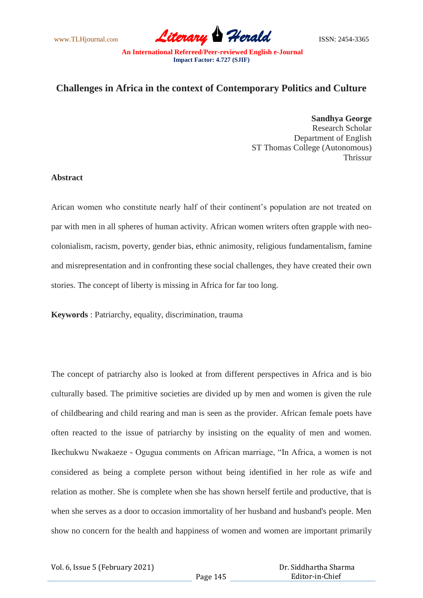www.TLHjournal.com *Literary Herald*ISSN: 2454-3365

**An International Refereed/Peer-reviewed English e-Journal Impact Factor: 4.727 (SJIF)**

## **Challenges in Africa in the context of Contemporary Politics and Culture**

**Sandhya George** Research Scholar Department of English ST Thomas College (Autonomous) Thrissur

## **Abstract**

Arican women who constitute nearly half of their continent's population are not treated on par with men in all spheres of human activity. African women writers often grapple with neocolonialism, racism, poverty, gender bias, ethnic animosity, religious fundamentalism, famine and misrepresentation and in confronting these social challenges, they have created their own stories. The concept of liberty is missing in Africa for far too long.

**Keywords** : Patriarchy, equality, discrimination, trauma

The concept of patriarchy also is looked at from different perspectives in Africa and is bio culturally based. The primitive societies are divided up by men and women is given the rule of childbearing and child rearing and man is seen as the provider. African female poets have often reacted to the issue of patriarchy by insisting on the equality of men and women. Ikechukwu Nwakaeze - Ogugua comments on African marriage, "In Africa, a women is not considered as being a complete person without being identified in her role as wife and relation as mother. She is complete when she has shown herself fertile and productive, that is when she serves as a door to occasion immortality of her husband and husband's people. Men show no concern for the health and happiness of women and women are important primarily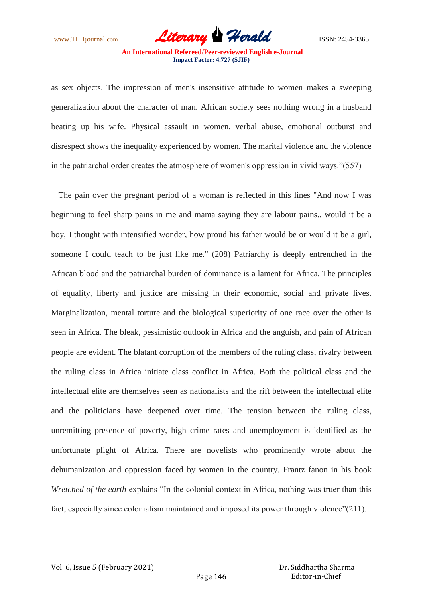www.TLHjournal.com **Literary Herald Herald** ISSN: 2454-3365

**An International Refereed/Peer-reviewed English e-Journal Impact Factor: 4.727 (SJIF)**

as sex objects. The impression of men's insensitive attitude to women makes a sweeping generalization about the character of man. African society sees nothing wrong in a husband beating up his wife. Physical assault in women, verbal abuse, emotional outburst and disrespect shows the inequality experienced by women. The marital violence and the violence in the patriarchal order creates the atmosphere of women's oppression in vivid ways."(557)

The pain over the pregnant period of a woman is reflected in this lines "And now I was beginning to feel sharp pains in me and mama saying they are labour pains.. would it be a boy, I thought with intensified wonder, how proud his father would be or would it be a girl, someone I could teach to be just like me." (208) Patriarchy is deeply entrenched in the African blood and the patriarchal burden of dominance is a lament for Africa. The principles of equality, liberty and justice are missing in their economic, social and private lives. Marginalization, mental torture and the biological superiority of one race over the other is seen in Africa. The bleak, pessimistic outlook in Africa and the anguish, and pain of African people are evident. The blatant corruption of the members of the ruling class, rivalry between the ruling class in Africa initiate class conflict in Africa. Both the political class and the intellectual elite are themselves seen as nationalists and the rift between the intellectual elite and the politicians have deepened over time. The tension between the ruling class, unremitting presence of poverty, high crime rates and unemployment is identified as the unfortunate plight of Africa. There are novelists who prominently wrote about the dehumanization and oppression faced by women in the country. Frantz fanon in his book *Wretched of the earth* explains "In the colonial context in Africa, nothing was truer than this fact, especially since colonialism maintained and imposed its power through violence"(211).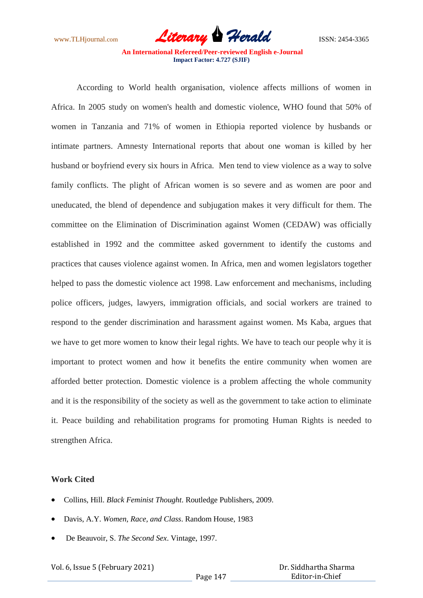www.TLHjournal.com **Literary Herald Herald** ISSN: 2454-3365

**An International Refereed/Peer-reviewed English e-Journal Impact Factor: 4.727 (SJIF)**

According to World health organisation, violence affects millions of women in Africa. In 2005 study on women's health and domestic violence, WHO found that 50% of women in Tanzania and 71% of women in Ethiopia reported violence by husbands or intimate partners. Amnesty International reports that about one woman is killed by her husband or boyfriend every six hours in Africa. Men tend to view violence as a way to solve family conflicts. The plight of African women is so severe and as women are poor and uneducated, the blend of dependence and subjugation makes it very difficult for them. The committee on the Elimination of Discrimination against Women (CEDAW) was officially established in 1992 and the committee asked government to identify the customs and practices that causes violence against women. In Africa, men and women legislators together helped to pass the domestic violence act 1998. Law enforcement and mechanisms, including police officers, judges, lawyers, immigration officials, and social workers are trained to respond to the gender discrimination and harassment against women. Ms Kaba, argues that we have to get more women to know their legal rights. We have to teach our people why it is important to protect women and how it benefits the entire community when women are afforded better protection. Domestic violence is a problem affecting the whole community and it is the responsibility of the society as well as the government to take action to eliminate it. Peace building and rehabilitation programs for promoting Human Rights is needed to strengthen Africa.

## **Work Cited**

- Collins, Hill. *Black Feminist Thought*. Routledge Publishers, 2009.
- Davis, A.Y. *Women, Race, and Class*. Random House, 1983
- De Beauvoir, S. *The Second Sex*. Vintage, 1997.

Vol. 6, Issue 5 (February 2021)

 Dr. Siddhartha Sharma Editor-in-Chief